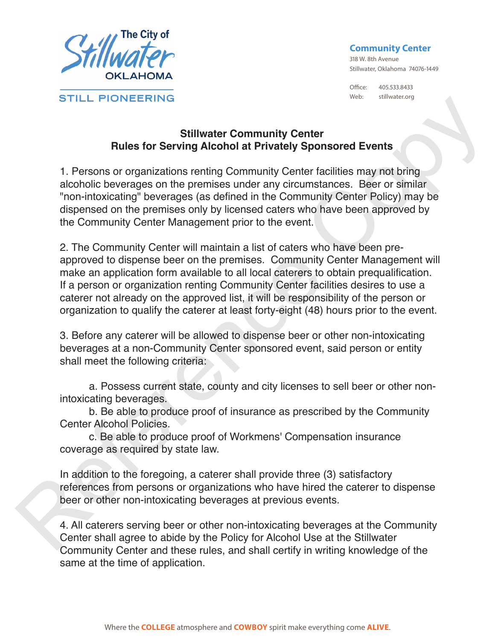

## **Community Center**

318 W. 8th Avenue Stillwater, Oklahoma 74076-1449

Office: 405.533.8433 Web: stillwater.org

## **Stillwater Community Center Rules for Serving Alcohol at Privately Sponsored Events**

1. Persons or organizations renting Community Center facilities may not bring alcoholic beverages on the premises under any circumstances. Beer or similar "non-intoxicating" beverages (as defined in the Community Center Policy) may be dispensed on the premises only by licensed caters who have been approved by the Community Center Management prior to the event.

2. The Community Center will maintain a list of caters who have been preapproved to dispense beer on the premises. Community Center Management will make an application form available to all local caterers to obtain prequalification. If a person or organization renting Community Center facilities desires to use a caterer not already on the approved list, it will be responsibility of the person or organization to qualify the caterer at least forty-eight (48) hours prior to the event. STILL PIONEERING<br>
Rules for Serving Alcohol at Privately Sponsored Events<br>
1. Persons or organizations renting Community Center facilities may not bring<br>
alcoholic beverages on the premises under any circumstances. Been or

3. Before any caterer will be allowed to dispense beer or other non-intoxicating beverages at a non-Community Center sponsored event, said person or entity shall meet the following criteria:

a. Possess current state, county and city licenses to sell beer or other nonintoxicating beverages.

b. Be able to produce proof of insurance as prescribed by the Community Center Alcohol Policies.

c. Be able to produce proof of Workmens' Compensation insurance coverage as required by state law.

In addition to the foregoing, a caterer shall provide three (3) satisfactory references from persons or organizations who have hired the caterer to dispense beer or other non-intoxicating beverages at previous events.

4. All caterers serving beer or other non-intoxicating beverages at the Community Center shall agree to abide by the Policy for Alcohol Use at the Stillwater Community Center and these rules, and shall certify in writing knowledge of the same at the time of application.